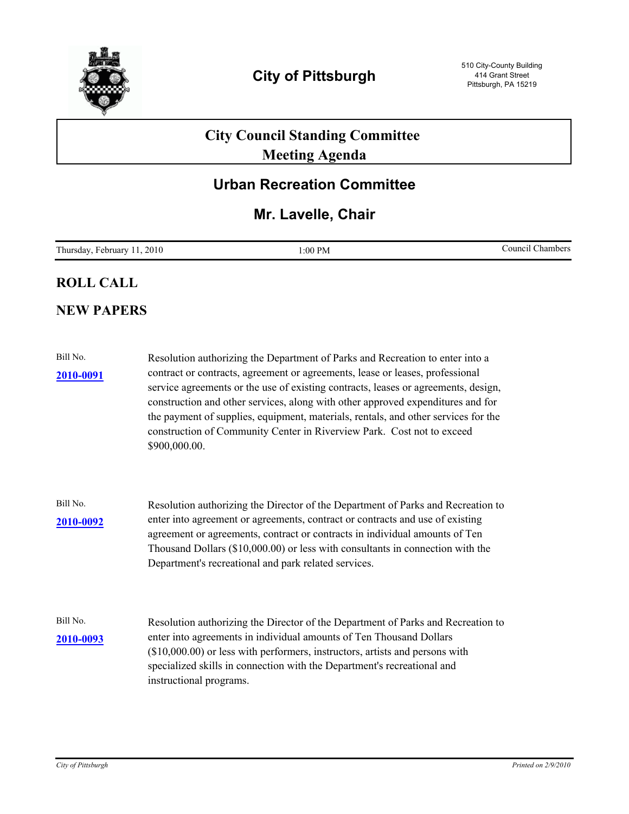

# **City Council Standing Committee Meeting Agenda**

## **Urban Recreation Committee**

## **Mr. Lavelle, Chair**

| T <sub>1</sub><br>2010<br>PN<br>Chambers<br>ouncil<br>:00<br>February<br>1 hursday<br>1 IV.<br>____ |  |
|-----------------------------------------------------------------------------------------------------|--|
|-----------------------------------------------------------------------------------------------------|--|

### **ROLL CALL**

### **NEW PAPERS**

| Bill No.<br><b>2010-0091</b> | Resolution authorizing the Department of Parks and Recreation to enter into a<br>contract or contracts, agreement or agreements, lease or leases, professional<br>service agreements or the use of existing contracts, leases or agreements, design,<br>construction and other services, along with other approved expenditures and for<br>the payment of supplies, equipment, materials, rentals, and other services for the<br>construction of Community Center in Riverview Park. Cost not to exceed<br>\$900,000.00. |
|------------------------------|--------------------------------------------------------------------------------------------------------------------------------------------------------------------------------------------------------------------------------------------------------------------------------------------------------------------------------------------------------------------------------------------------------------------------------------------------------------------------------------------------------------------------|
| Bill No.<br>2010-0092        | Resolution authorizing the Director of the Department of Parks and Recreation to<br>enter into agreement or agreements, contract or contracts and use of existing<br>agreement or agreements, contract or contracts in individual amounts of Ten<br>Thousand Dollars (\$10,000.00) or less with consultants in connection with the<br>Department's recreational and park related services.                                                                                                                               |
| Bill No.<br>2010-0093        | Resolution authorizing the Director of the Department of Parks and Recreation to<br>enter into agreements in individual amounts of Ten Thousand Dollars<br>$($10,000.00)$ or less with performers, instructors, artists and persons with<br>specialized skills in connection with the Department's recreational and<br>instructional programs.                                                                                                                                                                           |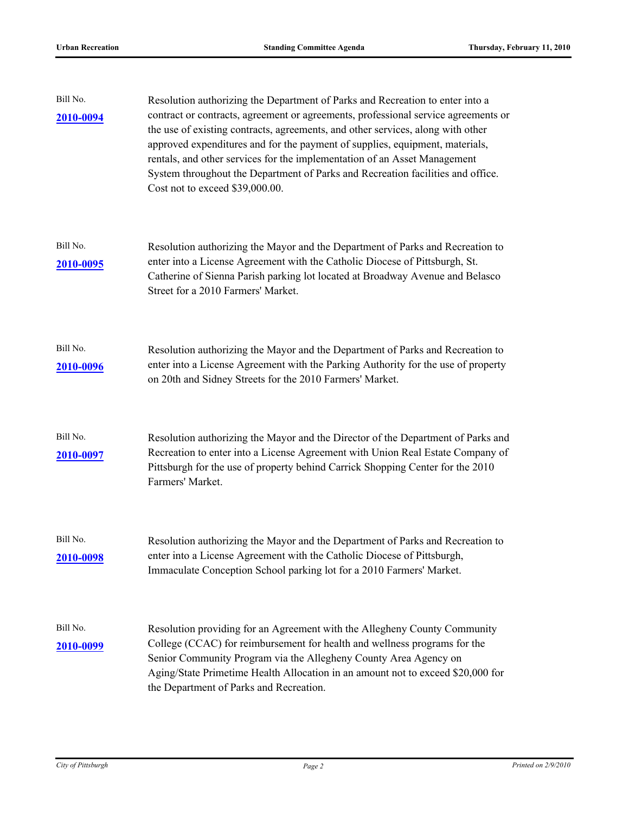| Bill No.<br>2010-0094 | Resolution authorizing the Department of Parks and Recreation to enter into a<br>contract or contracts, agreement or agreements, professional service agreements or<br>the use of existing contracts, agreements, and other services, along with other<br>approved expenditures and for the payment of supplies, equipment, materials,<br>rentals, and other services for the implementation of an Asset Management<br>System throughout the Department of Parks and Recreation facilities and office.<br>Cost not to exceed \$39,000.00. |
|-----------------------|-------------------------------------------------------------------------------------------------------------------------------------------------------------------------------------------------------------------------------------------------------------------------------------------------------------------------------------------------------------------------------------------------------------------------------------------------------------------------------------------------------------------------------------------|
| Bill No.<br>2010-0095 | Resolution authorizing the Mayor and the Department of Parks and Recreation to<br>enter into a License Agreement with the Catholic Diocese of Pittsburgh, St.<br>Catherine of Sienna Parish parking lot located at Broadway Avenue and Belasco<br>Street for a 2010 Farmers' Market.                                                                                                                                                                                                                                                      |
| Bill No.<br>2010-0096 | Resolution authorizing the Mayor and the Department of Parks and Recreation to<br>enter into a License Agreement with the Parking Authority for the use of property<br>on 20th and Sidney Streets for the 2010 Farmers' Market.                                                                                                                                                                                                                                                                                                           |
| Bill No.<br>2010-0097 | Resolution authorizing the Mayor and the Director of the Department of Parks and<br>Recreation to enter into a License Agreement with Union Real Estate Company of<br>Pittsburgh for the use of property behind Carrick Shopping Center for the 2010<br>Farmers' Market.                                                                                                                                                                                                                                                                  |
| Bill No.<br>2010-0098 | Resolution authorizing the Mayor and the Department of Parks and Recreation to<br>enter into a License Agreement with the Catholic Diocese of Pittsburgh,<br>Immaculate Conception School parking lot for a 2010 Farmers' Market.                                                                                                                                                                                                                                                                                                         |
| Bill No.<br>2010-0099 | Resolution providing for an Agreement with the Allegheny County Community<br>College (CCAC) for reimbursement for health and wellness programs for the<br>Senior Community Program via the Allegheny County Area Agency on<br>Aging/State Primetime Health Allocation in an amount not to exceed \$20,000 for<br>the Department of Parks and Recreation.                                                                                                                                                                                  |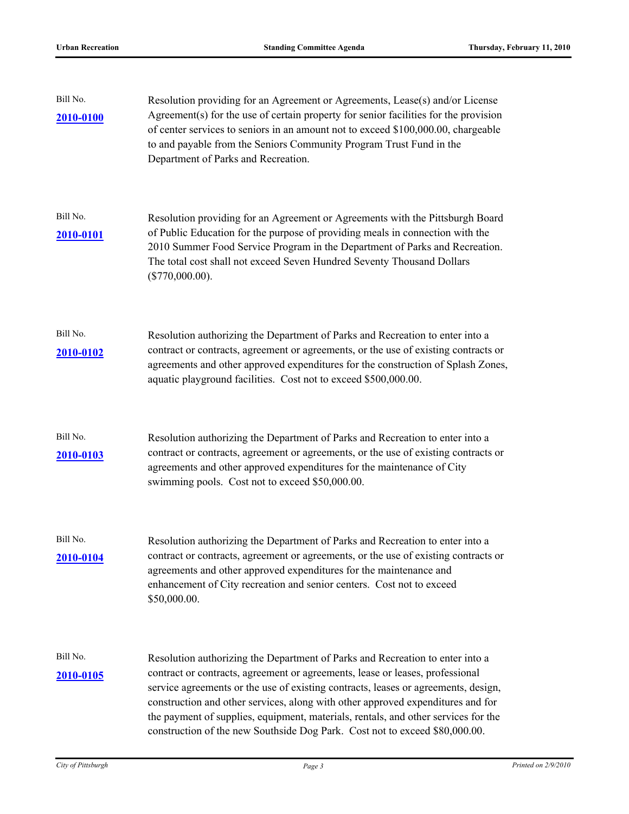| Bill No.<br><b>2010-0100</b> | Resolution providing for an Agreement or Agreements, Lease(s) and/or License<br>Agreement(s) for the use of certain property for senior facilities for the provision<br>of center services to seniors in an amount not to exceed \$100,000.00, chargeable<br>to and payable from the Seniors Community Program Trust Fund in the<br>Department of Parks and Recreation.                                                                                                                                      |
|------------------------------|--------------------------------------------------------------------------------------------------------------------------------------------------------------------------------------------------------------------------------------------------------------------------------------------------------------------------------------------------------------------------------------------------------------------------------------------------------------------------------------------------------------|
| Bill No.<br><u>2010-0101</u> | Resolution providing for an Agreement or Agreements with the Pittsburgh Board<br>of Public Education for the purpose of providing meals in connection with the<br>2010 Summer Food Service Program in the Department of Parks and Recreation.<br>The total cost shall not exceed Seven Hundred Seventy Thousand Dollars<br>(\$770,000.00).                                                                                                                                                                   |
| Bill No.<br><b>2010-0102</b> | Resolution authorizing the Department of Parks and Recreation to enter into a<br>contract or contracts, agreement or agreements, or the use of existing contracts or<br>agreements and other approved expenditures for the construction of Splash Zones,<br>aquatic playground facilities. Cost not to exceed \$500,000.00.                                                                                                                                                                                  |
| Bill No.<br>2010-0103        | Resolution authorizing the Department of Parks and Recreation to enter into a<br>contract or contracts, agreement or agreements, or the use of existing contracts or<br>agreements and other approved expenditures for the maintenance of City<br>swimming pools. Cost not to exceed \$50,000.00.                                                                                                                                                                                                            |
| Bill No.<br>2010-0104        | Resolution authorizing the Department of Parks and Recreation to enter into a<br>contract or contracts, agreement or agreements, or the use of existing contracts or<br>agreements and other approved expenditures for the maintenance and<br>enhancement of City recreation and senior centers. Cost not to exceed<br>\$50,000.00.                                                                                                                                                                          |
| Bill No.<br><u>2010-0105</u> | Resolution authorizing the Department of Parks and Recreation to enter into a<br>contract or contracts, agreement or agreements, lease or leases, professional<br>service agreements or the use of existing contracts, leases or agreements, design,<br>construction and other services, along with other approved expenditures and for<br>the payment of supplies, equipment, materials, rentals, and other services for the<br>construction of the new Southside Dog Park. Cost not to exceed \$80,000.00. |